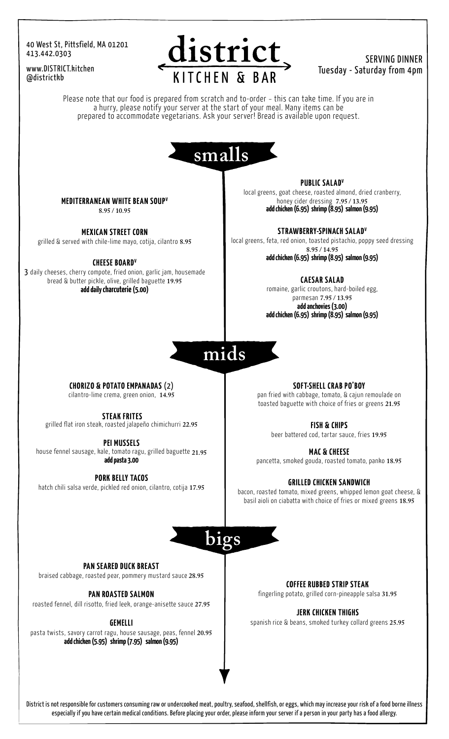#### 40 West St, Pittsfield, MA 01201 413.442.0303

www.DISTRICT.kitchen @districtkb



### SERVING DINNER Tuesday - Saturday from 4pm

Please note that our food is prepared from scratch and to-order – this can take time. If you are in a hurry, please notify your server at the start of your meal. Many items can be prepared to accommodate vegetarians. Ask your server! Bread is available upon request.



MEDITERRANEAN WHITE BEAN SOUPV 8.95 / 10.95

MEXICAN STREET CORN grilled & served with chile-lime mayo, cotija, cilantro 8.95

CHEESE BOARD<sup>V</sup> 3 daily cheeses, cherry compote, fried onion, garlic jam, housemade bread & butter pickle, olive, grilled baguette 19.95 add daily charcuterie (5.00)

PUBLIC SALAD<sup>V</sup> local greens, goat cheese, roasted almond, dried cranberry, honey cider dressing 7.95 / 13.95 add chicken (6.95) shrimp (8.95) salmon (9.95)

STRAWBERRY-SPINACH SALAD<sup>V</sup> local greens, feta, red onion, toasted pistachio, poppy seed dressing 8.95 / 14.95 add chicken (6.95) shrimp (8.95) salmon (9.95)

> CAESAR SALAD romaine, garlic croutons, hard-boiled egg, parmesan 7.95 / 13.95 add anchovies(3.00) add chicken (6.95) shrimp (8.95) salmon (9.95)

# mids

CHORIZO & POTATO EMPANADAS (2) cilantro-lime crema, green onion, 14.95

STEAK FRITES

grilled flat iron steak, roasted jalapeño chimichurri 22.95

PEI MUSSELS

house fennel sausage, kale, tomato ragu, grilled baguette 21.95 add pasta 3.00

PORK BELLY TACOS hatch chili salsa verde, pickled red onion, cilantro, cotija 17.95 SOFT-SHELL CRAB PO'BOY

pan fried with cabbage, tomato, & cajun remoulade on toasted baguette with choice of fries or greens 21.95

> FISH & CHIPS beer battered cod, tartar sauce, fries 19.95

MAC & CHEESE pancetta, smoked gouda, roasted tomato, panko 18.95

GRILLED CHICKEN SANDWICH bacon, roasted tomato, mixed greens, whipped lemon goat cheese, & basil aioli on ciabatta with choice of fries or mixed greens 18.95

bigs

PAN SEARED DUCK BREAST

braised cabbage, roasted pear, pommery mustard sauce 28.95

PAN ROASTED SALMON

roasted fennel, dill risotto, fried leek, orange-anisette sauce 27.95

GEMELLI

pasta twists, savory carrot ragu, house sausage, peas, fennel 20.95 add chicken (5.95) shrimp (7.95) salmon (9.95)

COFFEE RUBBED STRIP STEAK

fingerling potato, grilled corn-pineapple salsa 31.95

JERK CHICKEN THIGHS

spanish rice & beans, smoked turkey collard greens 25.95

District is not responsible for customers consuming raw or undercooked meat, poultry, seafood, shellfish, or eggs, which may increase your risk of a food borne illness especially if you have certain medical conditions. Before placing your order, please inform your server if a person in your party has a food allergy.